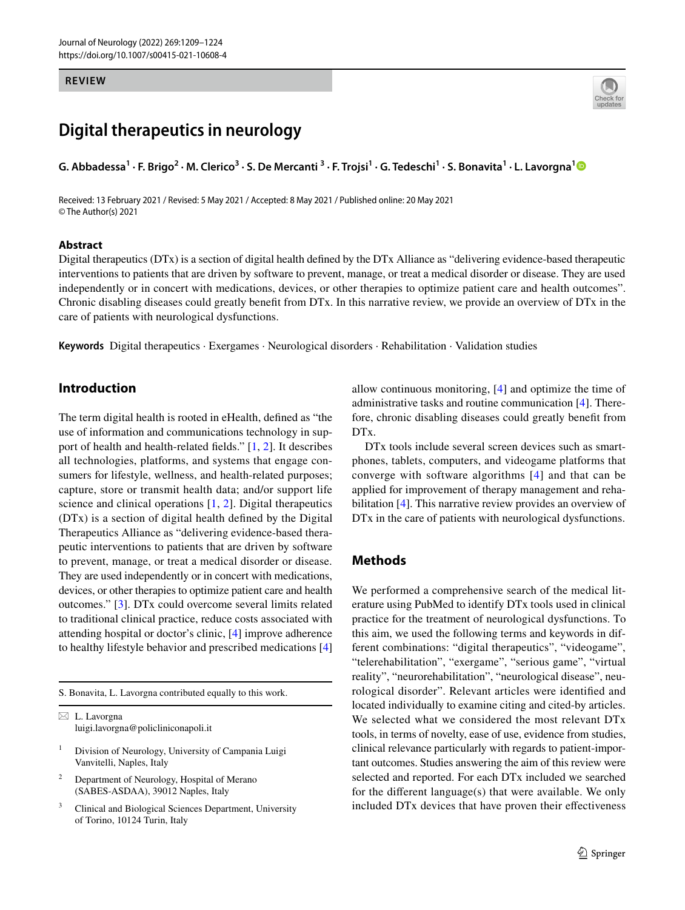#### **REVIEW**

# **Digital therapeutics in neurology**

G. Abbadessa<sup>[1](http://orcid.org/0000-0003-4625-4236)</sup> · F. Brigo<sup>2</sup> · M. Clerico<sup>3</sup> · S. De Mercanti<sup>3</sup> · F. Trojsi<sup>1</sup> · G. Tedeschi<sup>1</sup> · S. Bonavita<sup>1</sup> · L. Lavorgna<sup>1</sup>

Received: 13 February 2021 / Revised: 5 May 2021 / Accepted: 8 May 2021 / Published online: 20 May 2021 © The Author(s) 2021

#### **Abstract**



Digital therapeutics (DTx) is a section of digital health defned by the DTx Alliance as "delivering evidence-based therapeutic interventions to patients that are driven by software to prevent, manage, or treat a medical disorder or disease. They are used independently or in concert with medications, devices, or other therapies to optimize patient care and health outcomes". Chronic disabling diseases could greatly beneft from DTx. In this narrative review, we provide an overview of DTx in the care of patients with neurological dysfunctions.

**Keywords** Digital therapeutics · Exergames · Neurological disorders · Rehabilitation · Validation studies

# **Introduction**

The term digital health is rooted in eHealth, defned as "the use of information and communications technology in support of health and health-related felds." [[1,](#page-13-0) [2\]](#page-13-1). It describes all technologies, platforms, and systems that engage consumers for lifestyle, wellness, and health-related purposes; capture, store or transmit health data; and/or support life science and clinical operations [[1,](#page-13-0) [2](#page-13-1)]. Digital therapeutics (DTx) is a section of digital health defned by the Digital Therapeutics Alliance as "delivering evidence-based therapeutic interventions to patients that are driven by software to prevent, manage, or treat a medical disorder or disease. They are used independently or in concert with medications, devices, or other therapies to optimize patient care and health outcomes." [[3\]](#page-13-2). DTx could overcome several limits related to traditional clinical practice, reduce costs associated with attending hospital or doctor's clinic, [[4](#page-13-3)] improve adherence to healthy lifestyle behavior and prescribed medications [[4\]](#page-13-3)

S. Bonavita, L. Lavorgna contributed equally to this work.

- <sup>1</sup> Division of Neurology, University of Campania Luigi Vanvitelli, Naples, Italy
- <sup>2</sup> Department of Neurology, Hospital of Merano (SABES-ASDAA), 39012 Naples, Italy
- <sup>3</sup> Clinical and Biological Sciences Department, University of Torino, 10124 Turin, Italy

allow continuous monitoring, [[4\]](#page-13-3) and optimize the time of administrative tasks and routine communication [\[4](#page-13-3)]. Therefore, chronic disabling diseases could greatly beneft from DT<sub>x</sub>.

DTx tools include several screen devices such as smartphones, tablets, computers, and videogame platforms that converge with software algorithms [[4\]](#page-13-3) and that can be applied for improvement of therapy management and rehabilitation [\[4](#page-13-3)]. This narrative review provides an overview of DTx in the care of patients with neurological dysfunctions.

### **Methods**

We performed a comprehensive search of the medical literature using PubMed to identify DTx tools used in clinical practice for the treatment of neurological dysfunctions. To this aim, we used the following terms and keywords in different combinations: "digital therapeutics", "videogame", "telerehabilitation", "exergame", "serious game", "virtual reality", "neurorehabilitation", "neurological disease", neurological disorder". Relevant articles were identifed and located individually to examine citing and cited-by articles. We selected what we considered the most relevant DTx tools, in terms of novelty, ease of use, evidence from studies, clinical relevance particularly with regards to patient-important outcomes. Studies answering the aim of this review were selected and reported. For each DTx included we searched for the diferent language(s) that were available. We only included DTx devices that have proven their efectiveness

 $\boxtimes$  L. Lavorgna luigi.lavorgna@policliniconapoli.it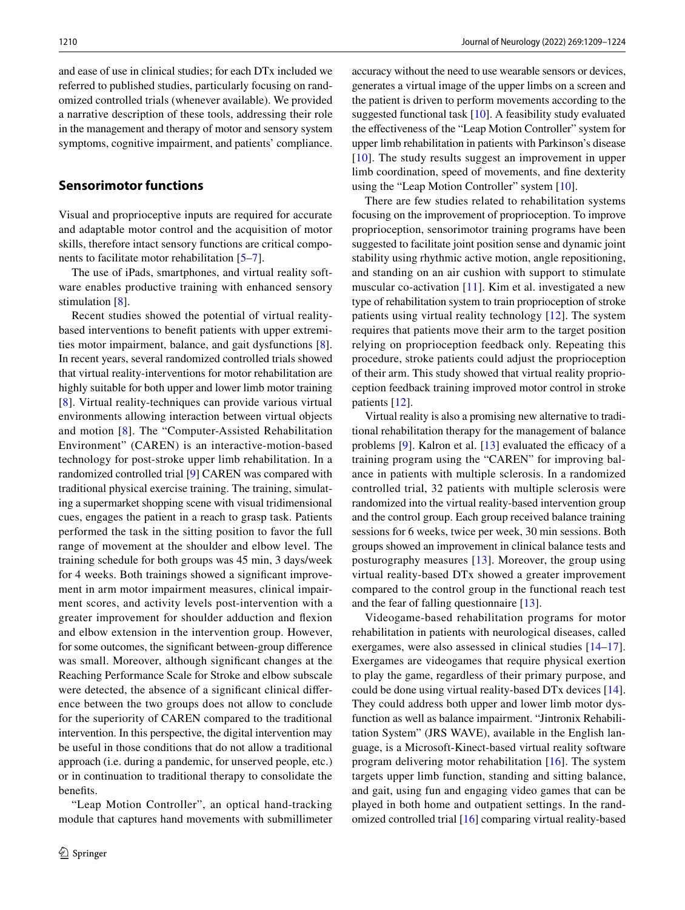and ease of use in clinical studies; for each DTx included we referred to published studies, particularly focusing on randomized controlled trials (whenever available). We provided a narrative description of these tools, addressing their role in the management and therapy of motor and sensory system symptoms, cognitive impairment, and patients' compliance.

### **Sensorimotor functions**

Visual and proprioceptive inputs are required for accurate and adaptable motor control and the acquisition of motor skills, therefore intact sensory functions are critical components to facilitate motor rehabilitation [\[5](#page-13-4)[–7](#page-13-5)].

The use of iPads, smartphones, and virtual reality software enables productive training with enhanced sensory stimulation [\[8](#page-13-6)].

Recent studies showed the potential of virtual realitybased interventions to beneft patients with upper extremities motor impairment, balance, and gait dysfunctions [\[8](#page-13-6)]. In recent years, several randomized controlled trials showed that virtual reality-interventions for motor rehabilitation are highly suitable for both upper and lower limb motor training [\[8\]](#page-13-6). Virtual reality-techniques can provide various virtual environments allowing interaction between virtual objects and motion [\[8\]](#page-13-6). The "Computer-Assisted Rehabilitation Environment" (CAREN) is an interactive-motion-based technology for post-stroke upper limb rehabilitation. In a randomized controlled trial [\[9](#page-13-7)] CAREN was compared with traditional physical exercise training. The training, simulating a supermarket shopping scene with visual tridimensional cues, engages the patient in a reach to grasp task. Patients performed the task in the sitting position to favor the full range of movement at the shoulder and elbow level. The training schedule for both groups was 45 min, 3 days/week for 4 weeks. Both trainings showed a signifcant improvement in arm motor impairment measures, clinical impairment scores, and activity levels post-intervention with a greater improvement for shoulder adduction and fexion and elbow extension in the intervention group. However, for some outcomes, the signifcant between-group diference was small. Moreover, although signifcant changes at the Reaching Performance Scale for Stroke and elbow subscale were detected, the absence of a significant clinical difference between the two groups does not allow to conclude for the superiority of CAREN compared to the traditional intervention. In this perspective, the digital intervention may be useful in those conditions that do not allow a traditional approach (i.e. during a pandemic, for unserved people, etc.) or in continuation to traditional therapy to consolidate the benefts.

"Leap Motion Controller", an optical hand-tracking module that captures hand movements with submillimeter accuracy without the need to use wearable sensors or devices, generates a virtual image of the upper limbs on a screen and the patient is driven to perform movements according to the suggested functional task [[10\]](#page-13-8). A feasibility study evaluated the efectiveness of the "Leap Motion Controller" system for upper limb rehabilitation in patients with Parkinson's disease [[10\]](#page-13-8). The study results suggest an improvement in upper limb coordination, speed of movements, and fne dexterity using the "Leap Motion Controller" system [[10\]](#page-13-8).

There are few studies related to rehabilitation systems focusing on the improvement of proprioception. To improve proprioception, sensorimotor training programs have been suggested to facilitate joint position sense and dynamic joint stability using rhythmic active motion, angle repositioning, and standing on an air cushion with support to stimulate muscular co-activation [[11\]](#page-13-9). Kim et al. investigated a new type of rehabilitation system to train proprioception of stroke patients using virtual reality technology [[12](#page-13-10)]. The system requires that patients move their arm to the target position relying on proprioception feedback only. Repeating this procedure, stroke patients could adjust the proprioception of their arm. This study showed that virtual reality proprioception feedback training improved motor control in stroke patients [\[12\]](#page-13-10).

Virtual reality is also a promising new alternative to traditional rehabilitation therapy for the management of balance problems  $[9]$  $[9]$  $[9]$ . Kalron et al.  $[13]$  $[13]$  evaluated the efficacy of a training program using the "CAREN" for improving balance in patients with multiple sclerosis. In a randomized controlled trial, 32 patients with multiple sclerosis were randomized into the virtual reality-based intervention group and the control group. Each group received balance training sessions for 6 weeks, twice per week, 30 min sessions. Both groups showed an improvement in clinical balance tests and posturography measures [[13](#page-13-11)]. Moreover, the group using virtual reality-based DTx showed a greater improvement compared to the control group in the functional reach test and the fear of falling questionnaire [\[13\]](#page-13-11).

Videogame-based rehabilitation programs for motor rehabilitation in patients with neurological diseases, called exergames, were also assessed in clinical studies [[14–](#page-13-12)[17](#page-14-0)]. Exergames are videogames that require physical exertion to play the game, regardless of their primary purpose, and could be done using virtual reality-based DTx devices [\[14](#page-13-12)]. They could address both upper and lower limb motor dysfunction as well as balance impairment. "Jintronix Rehabilitation System" (JRS WAVE), available in the English language, is a Microsoft-Kinect-based virtual reality software program delivering motor rehabilitation [[16](#page-14-1)]. The system targets upper limb function, standing and sitting balance, and gait, using fun and engaging video games that can be played in both home and outpatient settings. In the randomized controlled trial [[16\]](#page-14-1) comparing virtual reality-based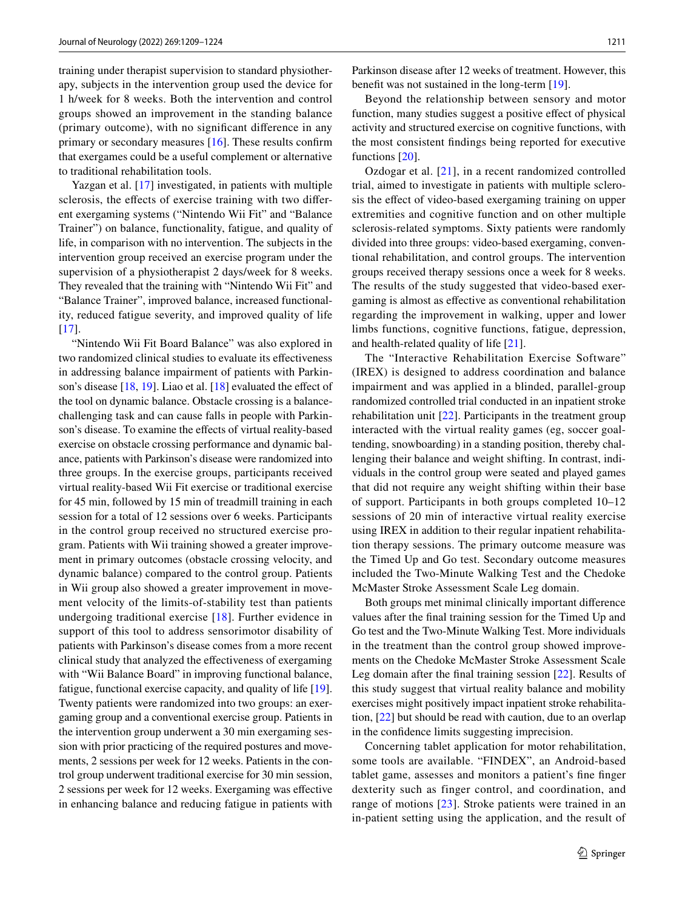training under therapist supervision to standard physiotherapy, subjects in the intervention group used the device for 1 h/week for 8 weeks. Both the intervention and control groups showed an improvement in the standing balance (primary outcome), with no signifcant diference in any primary or secondary measures [[16\]](#page-14-1). These results confrm that exergames could be a useful complement or alternative to traditional rehabilitation tools.

Yazgan et al. [[17\]](#page-14-0) investigated, in patients with multiple sclerosis, the efects of exercise training with two diferent exergaming systems ("Nintendo Wii Fit" and "Balance Trainer") on balance, functionality, fatigue, and quality of life, in comparison with no intervention. The subjects in the intervention group received an exercise program under the supervision of a physiotherapist 2 days/week for 8 weeks. They revealed that the training with "Nintendo Wii Fit" and "Balance Trainer", improved balance, increased functionality, reduced fatigue severity, and improved quality of life [\[17\]](#page-14-0).

"Nintendo Wii Fit Board Balance" was also explored in two randomized clinical studies to evaluate its efectiveness in addressing balance impairment of patients with Parkinson's disease  $[18, 19]$  $[18, 19]$  $[18, 19]$  $[18, 19]$ . Liao et al.  $[18]$  $[18]$  evaluated the effect of the tool on dynamic balance. Obstacle crossing is a balancechallenging task and can cause falls in people with Parkinson's disease. To examine the effects of virtual reality-based exercise on obstacle crossing performance and dynamic balance, patients with Parkinson's disease were randomized into three groups. In the exercise groups, participants received virtual reality-based Wii Fit exercise or traditional exercise for 45 min, followed by 15 min of treadmill training in each session for a total of 12 sessions over 6 weeks. Participants in the control group received no structured exercise program. Patients with Wii training showed a greater improvement in primary outcomes (obstacle crossing velocity, and dynamic balance) compared to the control group. Patients in Wii group also showed a greater improvement in movement velocity of the limits-of-stability test than patients undergoing traditional exercise [[18\]](#page-14-2). Further evidence in support of this tool to address sensorimotor disability of patients with Parkinson's disease comes from a more recent clinical study that analyzed the efectiveness of exergaming with "Wii Balance Board" in improving functional balance, fatigue, functional exercise capacity, and quality of life [\[19](#page-14-3)]. Twenty patients were randomized into two groups: an exergaming group and a conventional exercise group. Patients in the intervention group underwent a 30 min exergaming session with prior practicing of the required postures and movements, 2 sessions per week for 12 weeks. Patients in the control group underwent traditional exercise for 30 min session, 2 sessions per week for 12 weeks. Exergaming was efective in enhancing balance and reducing fatigue in patients with Parkinson disease after 12 weeks of treatment. However, this beneft was not sustained in the long-term [\[19\]](#page-14-3).

Beyond the relationship between sensory and motor function, many studies suggest a positive efect of physical activity and structured exercise on cognitive functions, with the most consistent fndings being reported for executive functions [[20\]](#page-14-4).

Ozdogar et al. [\[21\]](#page-14-5), in a recent randomized controlled trial, aimed to investigate in patients with multiple sclerosis the efect of video-based exergaming training on upper extremities and cognitive function and on other multiple sclerosis-related symptoms. Sixty patients were randomly divided into three groups: video-based exergaming, conventional rehabilitation, and control groups. The intervention groups received therapy sessions once a week for 8 weeks. The results of the study suggested that video-based exergaming is almost as efective as conventional rehabilitation regarding the improvement in walking, upper and lower limbs functions, cognitive functions, fatigue, depression, and health-related quality of life [[21\]](#page-14-5).

The "Interactive Rehabilitation Exercise Software" (IREX) is designed to address coordination and balance impairment and was applied in a blinded, parallel-group randomized controlled trial conducted in an inpatient stroke rehabilitation unit [[22\]](#page-14-6). Participants in the treatment group interacted with the virtual reality games (eg, soccer goaltending, snowboarding) in a standing position, thereby challenging their balance and weight shifting. In contrast, individuals in the control group were seated and played games that did not require any weight shifting within their base of support. Participants in both groups completed 10–12 sessions of 20 min of interactive virtual reality exercise using IREX in addition to their regular inpatient rehabilitation therapy sessions. The primary outcome measure was the Timed Up and Go test. Secondary outcome measures included the Two-Minute Walking Test and the Chedoke McMaster Stroke Assessment Scale Leg domain.

Both groups met minimal clinically important diference values after the fnal training session for the Timed Up and Go test and the Two-Minute Walking Test. More individuals in the treatment than the control group showed improvements on the Chedoke McMaster Stroke Assessment Scale Leg domain after the fnal training session [[22\]](#page-14-6). Results of this study suggest that virtual reality balance and mobility exercises might positively impact inpatient stroke rehabilitation, [[22](#page-14-6)] but should be read with caution, due to an overlap in the confdence limits suggesting imprecision.

Concerning tablet application for motor rehabilitation, some tools are available. "FINDEX", an Android-based tablet game, assesses and monitors a patient's fne fnger dexterity such as finger control, and coordination, and range of motions [[23\]](#page-14-7). Stroke patients were trained in an in-patient setting using the application, and the result of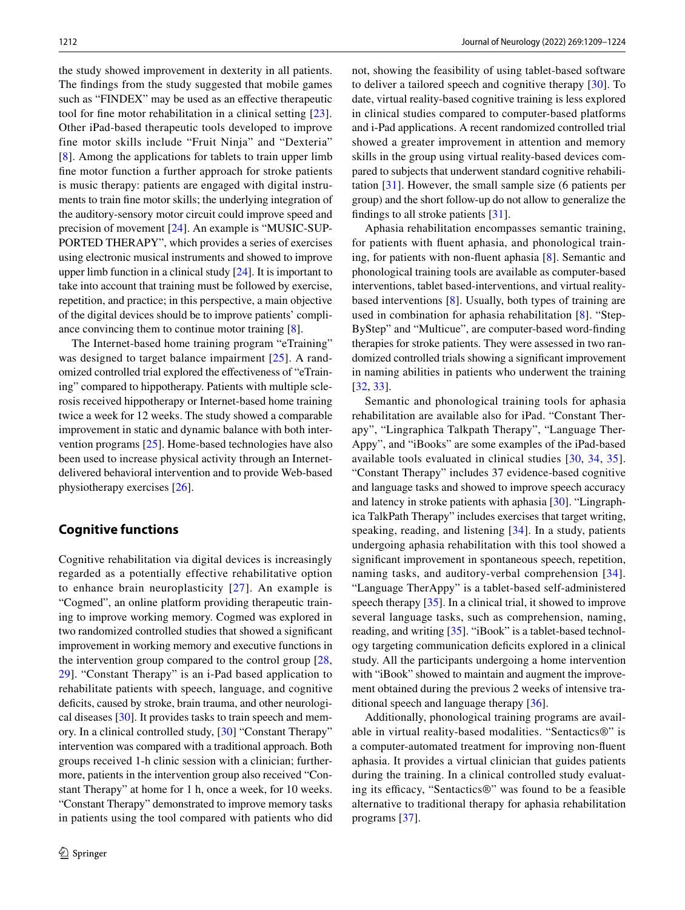the study showed improvement in dexterity in all patients. The fndings from the study suggested that mobile games such as "FINDEX" may be used as an efective therapeutic tool for fne motor rehabilitation in a clinical setting [[23\]](#page-14-7). Other iPad-based therapeutic tools developed to improve fine motor skills include "Fruit Ninja" and "Dexteria" [\[8](#page-13-6)]. Among the applications for tablets to train upper limb fne motor function a further approach for stroke patients is music therapy: patients are engaged with digital instruments to train fne motor skills; the underlying integration of the auditory-sensory motor circuit could improve speed and precision of movement [\[24](#page-14-8)]. An example is "MUSIC-SUP-PORTED THERAPY", which provides a series of exercises using electronic musical instruments and showed to improve upper limb function in a clinical study [[24\]](#page-14-8). It is important to take into account that training must be followed by exercise, repetition, and practice; in this perspective, a main objective of the digital devices should be to improve patients' compliance convincing them to continue motor training [[8](#page-13-6)].

The Internet-based home training program "eTraining" was designed to target balance impairment [\[25\]](#page-14-9). A randomized controlled trial explored the efectiveness of "eTraining" compared to hippotherapy. Patients with multiple sclerosis received hippotherapy or Internet-based home training twice a week for 12 weeks. The study showed a comparable improvement in static and dynamic balance with both intervention programs [\[25](#page-14-9)]. Home-based technologies have also been used to increase physical activity through an Internetdelivered behavioral intervention and to provide Web-based physiotherapy exercises [[26\]](#page-14-10).

### **Cognitive functions**

Cognitive rehabilitation via digital devices is increasingly regarded as a potentially effective rehabilitative option to enhance brain neuroplasticity [[27\]](#page-14-11). An example is "Cogmed", an online platform providing therapeutic training to improve working memory. Cogmed was explored in two randomized controlled studies that showed a signifcant improvement in working memory and executive functions in the intervention group compared to the control group  $[28,$ [29](#page-14-13)]. "Constant Therapy" is an i-Pad based application to rehabilitate patients with speech, language, and cognitive deficits, caused by stroke, brain trauma, and other neurological diseases [\[30](#page-14-14)]. It provides tasks to train speech and memory. In a clinical controlled study, [\[30](#page-14-14)] "Constant Therapy" intervention was compared with a traditional approach. Both groups received 1-h clinic session with a clinician; furthermore, patients in the intervention group also received "Constant Therapy" at home for 1 h, once a week, for 10 weeks. "Constant Therapy" demonstrated to improve memory tasks in patients using the tool compared with patients who did not, showing the feasibility of using tablet-based software to deliver a tailored speech and cognitive therapy [\[30\]](#page-14-14). To date, virtual reality-based cognitive training is less explored in clinical studies compared to computer-based platforms and i-Pad applications. A recent randomized controlled trial showed a greater improvement in attention and memory skills in the group using virtual reality-based devices compared to subjects that underwent standard cognitive rehabilitation [[31\]](#page-14-15). However, the small sample size (6 patients per group) and the short follow-up do not allow to generalize the fndings to all stroke patients [\[31](#page-14-15)].

Aphasia rehabilitation encompasses semantic training, for patients with fuent aphasia, and phonological training, for patients with non-fuent aphasia [\[8](#page-13-6)]. Semantic and phonological training tools are available as computer-based interventions, tablet based-interventions, and virtual realitybased interventions [\[8](#page-13-6)]. Usually, both types of training are used in combination for aphasia rehabilitation [[8](#page-13-6)]. "Step-ByStep" and "Multicue", are computer-based word-fnding therapies for stroke patients. They were assessed in two randomized controlled trials showing a signifcant improvement in naming abilities in patients who underwent the training [[32,](#page-14-16) [33\]](#page-14-17).

Semantic and phonological training tools for aphasia rehabilitation are available also for iPad. "Constant Therapy", "Lingraphica Talkpath Therapy", "Language Ther-Appy", and "iBooks" are some examples of the iPad-based available tools evaluated in clinical studies [[30](#page-14-14), [34,](#page-14-18) [35](#page-14-19)]. "Constant Therapy" includes 37 evidence-based cognitive and language tasks and showed to improve speech accuracy and latency in stroke patients with aphasia [\[30](#page-14-14)]. "Lingraphica TalkPath Therapy" includes exercises that target writing, speaking, reading, and listening [[34\]](#page-14-18). In a study, patients undergoing aphasia rehabilitation with this tool showed a signifcant improvement in spontaneous speech, repetition, naming tasks, and auditory-verbal comprehension [[34](#page-14-18)]. "Language TherAppy" is a tablet-based self-administered speech therapy [[35\]](#page-14-19). In a clinical trial, it showed to improve several language tasks, such as comprehension, naming, reading, and writing [\[35\]](#page-14-19). "iBook" is a tablet-based technology targeting communication defcits explored in a clinical study. All the participants undergoing a home intervention with "iBook" showed to maintain and augment the improvement obtained during the previous 2 weeks of intensive traditional speech and language therapy [\[36](#page-14-20)].

Additionally, phonological training programs are available in virtual reality-based modalities. "Sentactics®" is a computer-automated treatment for improving non-fuent aphasia. It provides a virtual clinician that guides patients during the training. In a clinical controlled study evaluating its efficacy, "Sentactics®" was found to be a feasible alternative to traditional therapy for aphasia rehabilitation programs [\[37](#page-14-21)].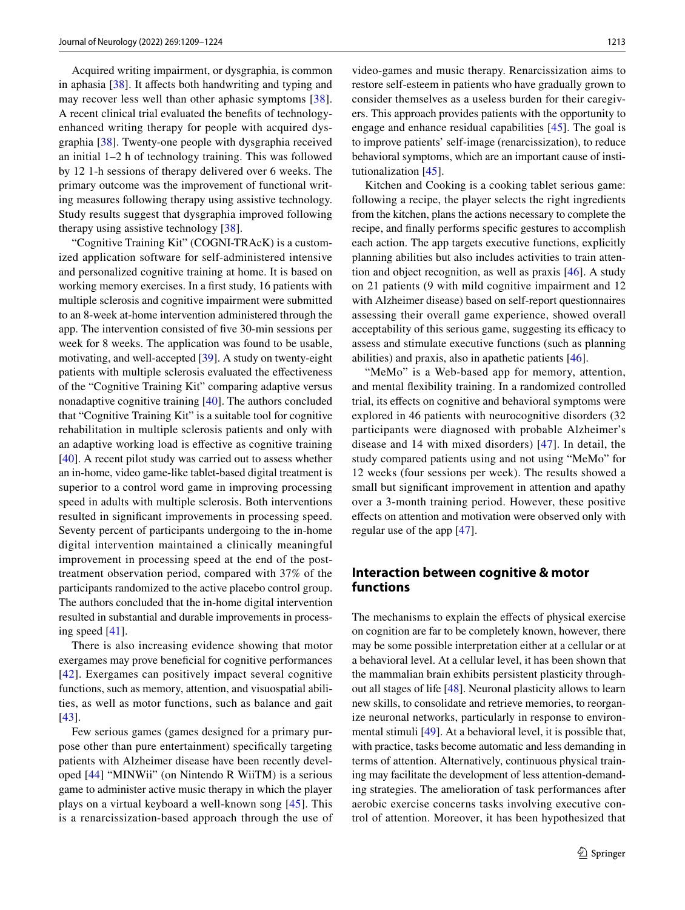Acquired writing impairment, or dysgraphia, is common in aphasia [\[38](#page-14-22)]. It affects both handwriting and typing and may recover less well than other aphasic symptoms [[38](#page-14-22)]. A recent clinical trial evaluated the benefts of technologyenhanced writing therapy for people with acquired dysgraphia [[38\]](#page-14-22). Twenty-one people with dysgraphia received an initial 1–2 h of technology training. This was followed by 12 1-h sessions of therapy delivered over 6 weeks. The primary outcome was the improvement of functional writing measures following therapy using assistive technology. Study results suggest that dysgraphia improved following therapy using assistive technology [\[38](#page-14-22)].

"Cognitive Training Kit" (COGNI-TRAcK) is a customized application software for self-administered intensive and personalized cognitive training at home. It is based on working memory exercises. In a frst study, 16 patients with multiple sclerosis and cognitive impairment were submitted to an 8-week at-home intervention administered through the app. The intervention consisted of fve 30-min sessions per week for 8 weeks. The application was found to be usable, motivating, and well-accepted [[39\]](#page-14-23). A study on twenty-eight patients with multiple sclerosis evaluated the efectiveness of the "Cognitive Training Kit" comparing adaptive versus nonadaptive cognitive training [\[40](#page-14-24)]. The authors concluded that "Cognitive Training Kit" is a suitable tool for cognitive rehabilitation in multiple sclerosis patients and only with an adaptive working load is efective as cognitive training [\[40\]](#page-14-24). A recent pilot study was carried out to assess whether an in-home, video game-like tablet-based digital treatment is superior to a control word game in improving processing speed in adults with multiple sclerosis. Both interventions resulted in signifcant improvements in processing speed. Seventy percent of participants undergoing to the in-home digital intervention maintained a clinically meaningful improvement in processing speed at the end of the posttreatment observation period, compared with 37% of the participants randomized to the active placebo control group. The authors concluded that the in-home digital intervention resulted in substantial and durable improvements in processing speed [\[41](#page-14-25)].

There is also increasing evidence showing that motor exergames may prove beneficial for cognitive performances [[42\]](#page-14-26). Exergames can positively impact several cognitive functions, such as memory, attention, and visuospatial abilities, as well as motor functions, such as balance and gait [\[43\]](#page-14-27).

Few serious games (games designed for a primary purpose other than pure entertainment) specifcally targeting patients with Alzheimer disease have been recently developed [[44](#page-14-28)] "MINWii" (on Nintendo R WiiTM) is a serious game to administer active music therapy in which the player plays on a virtual keyboard a well-known song [[45\]](#page-14-29). This is a renarcissization-based approach through the use of video-games and music therapy. Renarcissization aims to restore self-esteem in patients who have gradually grown to consider themselves as a useless burden for their caregivers. This approach provides patients with the opportunity to engage and enhance residual capabilities [\[45\]](#page-14-29). The goal is to improve patients' self-image (renarcissization), to reduce behavioral symptoms, which are an important cause of institutionalization [\[45\]](#page-14-29).

Kitchen and Cooking is a cooking tablet serious game: following a recipe, the player selects the right ingredients from the kitchen, plans the actions necessary to complete the recipe, and fnally performs specifc gestures to accomplish each action. The app targets executive functions, explicitly planning abilities but also includes activities to train attention and object recognition, as well as praxis [[46\]](#page-14-30). A study on 21 patients (9 with mild cognitive impairment and 12 with Alzheimer disease) based on self-report questionnaires assessing their overall game experience, showed overall acceptability of this serious game, suggesting its efficacy to assess and stimulate executive functions (such as planning abilities) and praxis, also in apathetic patients [\[46](#page-14-30)].

"MeMo" is a Web-based app for memory, attention, and mental fexibility training. In a randomized controlled trial, its efects on cognitive and behavioral symptoms were explored in 46 patients with neurocognitive disorders (32 participants were diagnosed with probable Alzheimer's disease and 14 with mixed disorders) [[47\]](#page-14-31). In detail, the study compared patients using and not using "MeMo" for 12 weeks (four sessions per week). The results showed a small but signifcant improvement in attention and apathy over a 3-month training period. However, these positive efects on attention and motivation were observed only with regular use of the app [\[47](#page-14-31)].

### **Interaction between cognitive & motor functions**

The mechanisms to explain the effects of physical exercise on cognition are far to be completely known, however, there may be some possible interpretation either at a cellular or at a behavioral level. At a cellular level, it has been shown that the mammalian brain exhibits persistent plasticity throughout all stages of life [\[48](#page-14-32)]. Neuronal plasticity allows to learn new skills, to consolidate and retrieve memories, to reorganize neuronal networks, particularly in response to environmental stimuli [\[49](#page-14-33)]. At a behavioral level, it is possible that, with practice, tasks become automatic and less demanding in terms of attention. Alternatively, continuous physical training may facilitate the development of less attention-demanding strategies. The amelioration of task performances after aerobic exercise concerns tasks involving executive control of attention. Moreover, it has been hypothesized that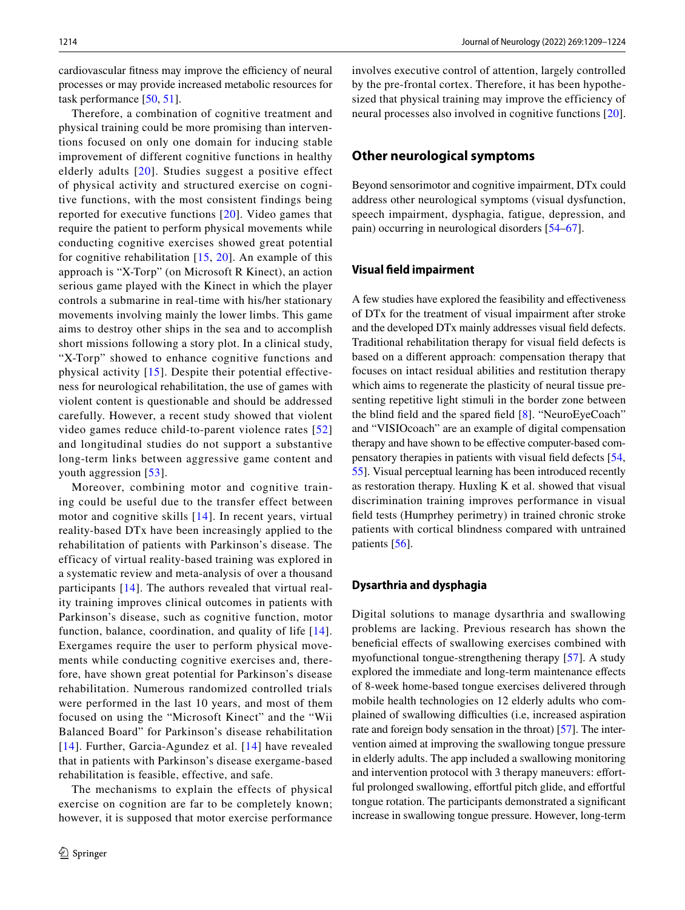cardiovascular fitness may improve the efficiency of neural processes or may provide increased metabolic resources for task performance [[50,](#page-14-34) [51\]](#page-14-35).

Therefore, a combination of cognitive treatment and physical training could be more promising than interventions focused on only one domain for inducing stable improvement of different cognitive functions in healthy elderly adults [[20](#page-14-4)]. Studies suggest a positive effect of physical activity and structured exercise on cognitive functions, with the most consistent findings being reported for executive functions [[20](#page-14-4)]. Video games that require the patient to perform physical movements while conducting cognitive exercises showed great potential for cognitive rehabilitation  $[15, 20]$  $[15, 20]$  $[15, 20]$  $[15, 20]$ . An example of this approach is "X-Torp" (on Microsoft R Kinect), an action serious game played with the Kinect in which the player controls a submarine in real-time with his/her stationary movements involving mainly the lower limbs. This game aims to destroy other ships in the sea and to accomplish short missions following a story plot. In a clinical study, "X-Torp" showed to enhance cognitive functions and physical activity [[15](#page-14-36)]. Despite their potential effectiveness for neurological rehabilitation, the use of games with violent content is questionable and should be addressed carefully. However, a recent study showed that violent video games reduce child-to-parent violence rates [[52\]](#page-15-0) and longitudinal studies do not support a substantive long-term links between aggressive game content and youth aggression [[53\]](#page-15-1).

Moreover, combining motor and cognitive training could be useful due to the transfer effect between motor and cognitive skills [[14](#page-13-12)]. In recent years, virtual reality-based DTx have been increasingly applied to the rehabilitation of patients with Parkinson's disease. The efficacy of virtual reality-based training was explored in a systematic review and meta-analysis of over a thousand participants [[14](#page-13-12)]. The authors revealed that virtual reality training improves clinical outcomes in patients with Parkinson's disease, such as cognitive function, motor function, balance, coordination, and quality of life [[14\]](#page-13-12). Exergames require the user to perform physical movements while conducting cognitive exercises and, therefore, have shown great potential for Parkinson's disease rehabilitation. Numerous randomized controlled trials were performed in the last 10 years, and most of them focused on using the "Microsoft Kinect" and the "Wii Balanced Board" for Parkinson's disease rehabilitation [[14](#page-13-12)]. Further, Garcia-Agundez et al. [[14](#page-13-12)] have revealed that in patients with Parkinson's disease exergame-based rehabilitation is feasible, effective, and safe.

The mechanisms to explain the effects of physical exercise on cognition are far to be completely known; however, it is supposed that motor exercise performance involves executive control of attention, largely controlled by the pre-frontal cortex. Therefore, it has been hypothesized that physical training may improve the efficiency of neural processes also involved in cognitive functions [\[20](#page-14-4)].

### **Other neurological symptoms**

Beyond sensorimotor and cognitive impairment, DTx could address other neurological symptoms (visual dysfunction, speech impairment, dysphagia, fatigue, depression, and pain) occurring in neurological disorders [\[54](#page-15-2)[–67](#page-15-3)].

#### **Visual feld impairment**

A few studies have explored the feasibility and efectiveness of DTx for the treatment of visual impairment after stroke and the developed DTx mainly addresses visual feld defects. Traditional rehabilitation therapy for visual feld defects is based on a diferent approach: compensation therapy that focuses on intact residual abilities and restitution therapy which aims to regenerate the plasticity of neural tissue presenting repetitive light stimuli in the border zone between the blind feld and the spared feld [\[8](#page-13-6)]. "NeuroEyeCoach" and "VISIOcoach" are an example of digital compensation therapy and have shown to be efective computer-based compensatory therapies in patients with visual feld defects [[54,](#page-15-2) [55](#page-15-4)]. Visual perceptual learning has been introduced recently as restoration therapy. Huxling K et al. showed that visual discrimination training improves performance in visual feld tests (Humprhey perimetry) in trained chronic stroke patients with cortical blindness compared with untrained patients [\[56\]](#page-15-5).

#### **Dysarthria and dysphagia**

Digital solutions to manage dysarthria and swallowing problems are lacking. Previous research has shown the benefcial efects of swallowing exercises combined with myofunctional tongue-strengthening therapy [\[57\]](#page-15-6). A study explored the immediate and long-term maintenance efects of 8-week home-based tongue exercises delivered through mobile health technologies on 12 elderly adults who complained of swallowing difficulties (i.e, increased aspiration rate and foreign body sensation in the throat) [[57](#page-15-6)]. The intervention aimed at improving the swallowing tongue pressure in elderly adults. The app included a swallowing monitoring and intervention protocol with 3 therapy maneuvers: effortful prolonged swallowing, effortful pitch glide, and effortful tongue rotation. The participants demonstrated a signifcant increase in swallowing tongue pressure. However, long-term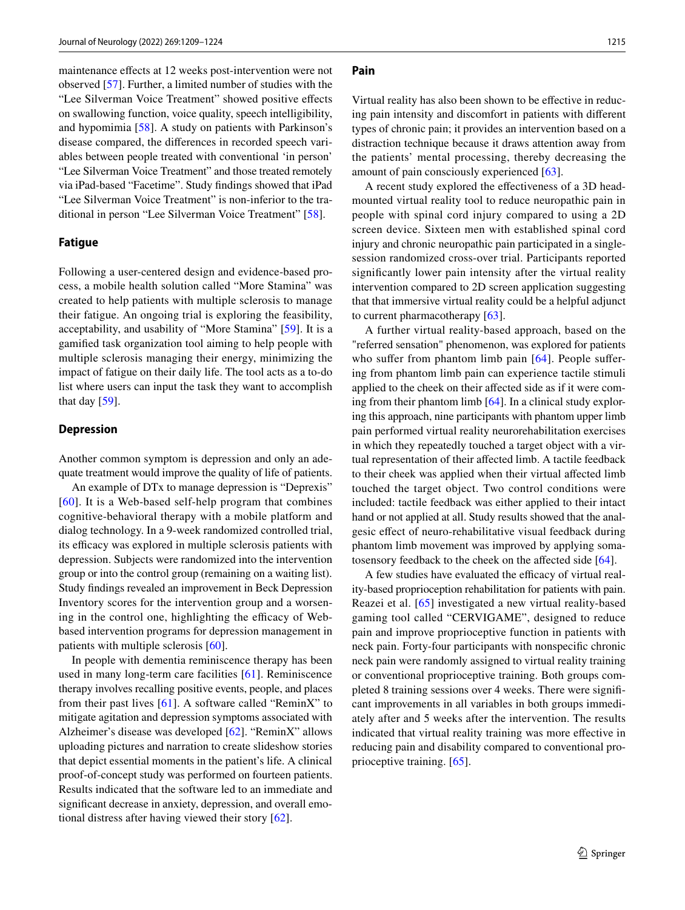maintenance efects at 12 weeks post-intervention were not observed [[57\]](#page-15-6). Further, a limited number of studies with the "Lee Silverman Voice Treatment" showed positive efects on swallowing function, voice quality, speech intelligibility, and hypomimia [[58\]](#page-15-7). A study on patients with Parkinson's disease compared, the diferences in recorded speech variables between people treated with conventional 'in person' "Lee Silverman Voice Treatment" and those treated remotely via iPad-based "Facetime". Study fndings showed that iPad "Lee Silverman Voice Treatment" is non-inferior to the traditional in person "Lee Silverman Voice Treatment" [\[58](#page-15-7)].

#### **Fatigue**

Following a user-centered design and evidence-based process, a mobile health solution called "More Stamina" was created to help patients with multiple sclerosis to manage their fatigue. An ongoing trial is exploring the feasibility, acceptability, and usability of "More Stamina" [\[59](#page-15-8)]. It is a gamifed task organization tool aiming to help people with multiple sclerosis managing their energy, minimizing the impact of fatigue on their daily life. The tool acts as a to-do list where users can input the task they want to accomplish that day  $[59]$  $[59]$ .

#### **Depression**

Another common symptom is depression and only an adequate treatment would improve the quality of life of patients.

An example of DTx to manage depression is "Deprexis" [[60\]](#page-15-9). It is a Web-based self-help program that combines cognitive-behavioral therapy with a mobile platform and dialog technology. In a 9-week randomized controlled trial, its efficacy was explored in multiple sclerosis patients with depression. Subjects were randomized into the intervention group or into the control group (remaining on a waiting list). Study fndings revealed an improvement in Beck Depression Inventory scores for the intervention group and a worsening in the control one, highlighting the efficacy of Webbased intervention programs for depression management in patients with multiple sclerosis [\[60](#page-15-9)].

In people with dementia reminiscence therapy has been used in many long-term care facilities [[61](#page-15-10)]. Reminiscence therapy involves recalling positive events, people, and places from their past lives  $[61]$ . A software called "ReminX" to mitigate agitation and depression symptoms associated with Alzheimer's disease was developed [\[62](#page-15-11)]. "ReminX" allows uploading pictures and narration to create slideshow stories that depict essential moments in the patient's life. A clinical proof-of-concept study was performed on fourteen patients. Results indicated that the software led to an immediate and signifcant decrease in anxiety, depression, and overall emotional distress after having viewed their story [\[62\]](#page-15-11).

#### **Pain**

Virtual reality has also been shown to be efective in reducing pain intensity and discomfort in patients with diferent types of chronic pain; it provides an intervention based on a distraction technique because it draws attention away from the patients' mental processing, thereby decreasing the amount of pain consciously experienced [\[63](#page-15-12)].

A recent study explored the efectiveness of a 3D headmounted virtual reality tool to reduce neuropathic pain in people with spinal cord injury compared to using a 2D screen device. Sixteen men with established spinal cord injury and chronic neuropathic pain participated in a singlesession randomized cross-over trial. Participants reported signifcantly lower pain intensity after the virtual reality intervention compared to 2D screen application suggesting that that immersive virtual reality could be a helpful adjunct to current pharmacotherapy [[63\]](#page-15-12).

A further virtual reality-based approach, based on the "referred sensation" phenomenon, was explored for patients who suffer from phantom limb pain [[64](#page-15-13)]. People suffering from phantom limb pain can experience tactile stimuli applied to the cheek on their afected side as if it were coming from their phantom limb  $[64]$  $[64]$ . In a clinical study exploring this approach, nine participants with phantom upper limb pain performed virtual reality neurorehabilitation exercises in which they repeatedly touched a target object with a virtual representation of their afected limb. A tactile feedback to their cheek was applied when their virtual afected limb touched the target object. Two control conditions were included: tactile feedback was either applied to their intact hand or not applied at all. Study results showed that the analgesic effect of neuro-rehabilitative visual feedback during phantom limb movement was improved by applying somatosensory feedback to the cheek on the afected side [[64\]](#page-15-13).

A few studies have evaluated the efficacy of virtual reality-based proprioception rehabilitation for patients with pain. Reazei et al. [[65](#page-15-14)] investigated a new virtual reality-based gaming tool called "CERVIGAME", designed to reduce pain and improve proprioceptive function in patients with neck pain. Forty-four participants with nonspecifc chronic neck pain were randomly assigned to virtual reality training or conventional proprioceptive training. Both groups completed 8 training sessions over 4 weeks. There were signifcant improvements in all variables in both groups immediately after and 5 weeks after the intervention. The results indicated that virtual reality training was more efective in reducing pain and disability compared to conventional proprioceptive training. [[65\]](#page-15-14).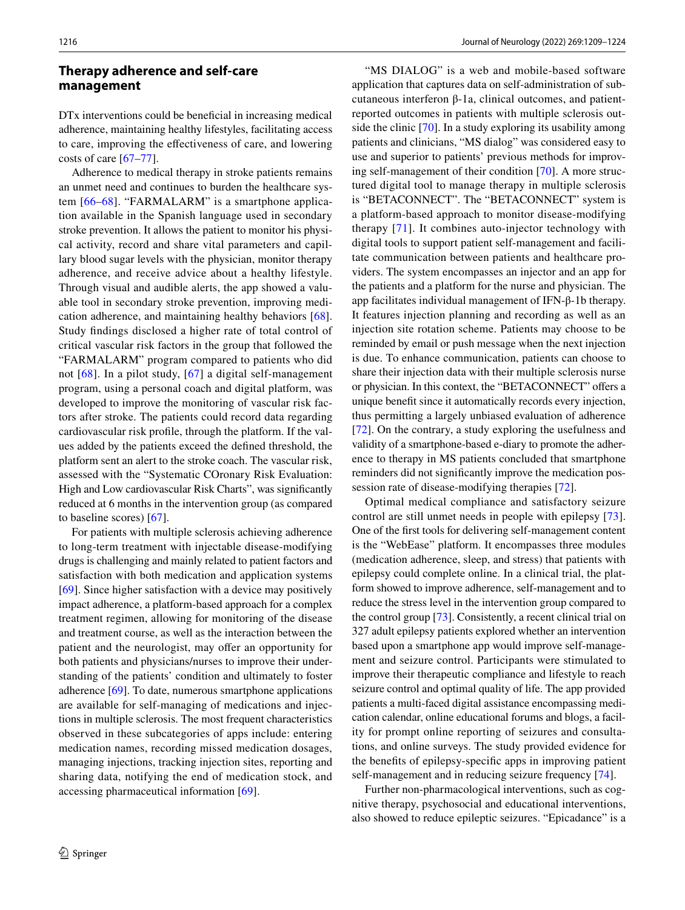### **Therapy adherence and self‑care management**

DTx interventions could be benefcial in increasing medical adherence, maintaining healthy lifestyles, facilitating access to care, improving the efectiveness of care, and lowering costs of care [\[67](#page-15-3)[–77](#page-15-15)].

Adherence to medical therapy in stroke patients remains an unmet need and continues to burden the healthcare system [[66](#page-15-16)–[68\]](#page-15-17). "FARMALARM" is a smartphone application available in the Spanish language used in secondary stroke prevention. It allows the patient to monitor his physical activity, record and share vital parameters and capillary blood sugar levels with the physician, monitor therapy adherence, and receive advice about a healthy lifestyle. Through visual and audible alerts, the app showed a valuable tool in secondary stroke prevention, improving medication adherence, and maintaining healthy behaviors [\[68](#page-15-17)]. Study fndings disclosed a higher rate of total control of critical vascular risk factors in the group that followed the "FARMALARM" program compared to patients who did not [[68](#page-15-17)]. In a pilot study, [\[67\]](#page-15-3) a digital self-management program, using a personal coach and digital platform, was developed to improve the monitoring of vascular risk factors after stroke. The patients could record data regarding cardiovascular risk profle, through the platform. If the values added by the patients exceed the defned threshold, the platform sent an alert to the stroke coach. The vascular risk, assessed with the "Systematic COronary Risk Evaluation: High and Low cardiovascular Risk Charts", was signifcantly reduced at 6 months in the intervention group (as compared to baseline scores) [\[67](#page-15-3)].

For patients with multiple sclerosis achieving adherence to long-term treatment with injectable disease-modifying drugs is challenging and mainly related to patient factors and satisfaction with both medication and application systems [\[69\]](#page-15-18). Since higher satisfaction with a device may positively impact adherence, a platform-based approach for a complex treatment regimen, allowing for monitoring of the disease and treatment course, as well as the interaction between the patient and the neurologist, may offer an opportunity for both patients and physicians/nurses to improve their understanding of the patients' condition and ultimately to foster adherence [\[69](#page-15-18)]. To date, numerous smartphone applications are available for self-managing of medications and injections in multiple sclerosis. The most frequent characteristics observed in these subcategories of apps include: entering medication names, recording missed medication dosages, managing injections, tracking injection sites, reporting and sharing data, notifying the end of medication stock, and accessing pharmaceutical information [\[69](#page-15-18)].

"MS DIALOG" is a web and mobile-based software application that captures data on self-administration of subcutaneous interferon β-1a, clinical outcomes, and patientreported outcomes in patients with multiple sclerosis outside the clinic [\[70](#page-15-19)]. In a study exploring its usability among patients and clinicians, "MS dialog" was considered easy to use and superior to patients' previous methods for improving self-management of their condition [[70\]](#page-15-19). A more structured digital tool to manage therapy in multiple sclerosis is "BETACONNECT". The "BETACONNECT" system is a platform-based approach to monitor disease-modifying therapy [[71](#page-15-20)]. It combines auto-injector technology with digital tools to support patient self-management and facilitate communication between patients and healthcare providers. The system encompasses an injector and an app for the patients and a platform for the nurse and physician. The app facilitates individual management of IFN-β-1b therapy. It features injection planning and recording as well as an injection site rotation scheme. Patients may choose to be reminded by email or push message when the next injection is due. To enhance communication, patients can choose to share their injection data with their multiple sclerosis nurse or physician. In this context, the "BETACONNECT" offers a unique beneft since it automatically records every injection, thus permitting a largely unbiased evaluation of adherence [[72\]](#page-15-21). On the contrary, a study exploring the usefulness and validity of a smartphone-based e-diary to promote the adherence to therapy in MS patients concluded that smartphone reminders did not signifcantly improve the medication possession rate of disease-modifying therapies [[72\]](#page-15-21).

Optimal medical compliance and satisfactory seizure control are still unmet needs in people with epilepsy [\[73](#page-15-22)]. One of the frst tools for delivering self-management content is the "WebEase" platform. It encompasses three modules (medication adherence, sleep, and stress) that patients with epilepsy could complete online. In a clinical trial, the platform showed to improve adherence, self-management and to reduce the stress level in the intervention group compared to the control group [[73\]](#page-15-22). Consistently, a recent clinical trial on 327 adult epilepsy patients explored whether an intervention based upon a smartphone app would improve self-management and seizure control. Participants were stimulated to improve their therapeutic compliance and lifestyle to reach seizure control and optimal quality of life. The app provided patients a multi-faced digital assistance encompassing medication calendar, online educational forums and blogs, a facility for prompt online reporting of seizures and consultations, and online surveys. The study provided evidence for the benefts of epilepsy-specifc apps in improving patient self-management and in reducing seizure frequency [\[74](#page-15-23)].

Further non-pharmacological interventions, such as cognitive therapy, psychosocial and educational interventions, also showed to reduce epileptic seizures. "Epicadance" is a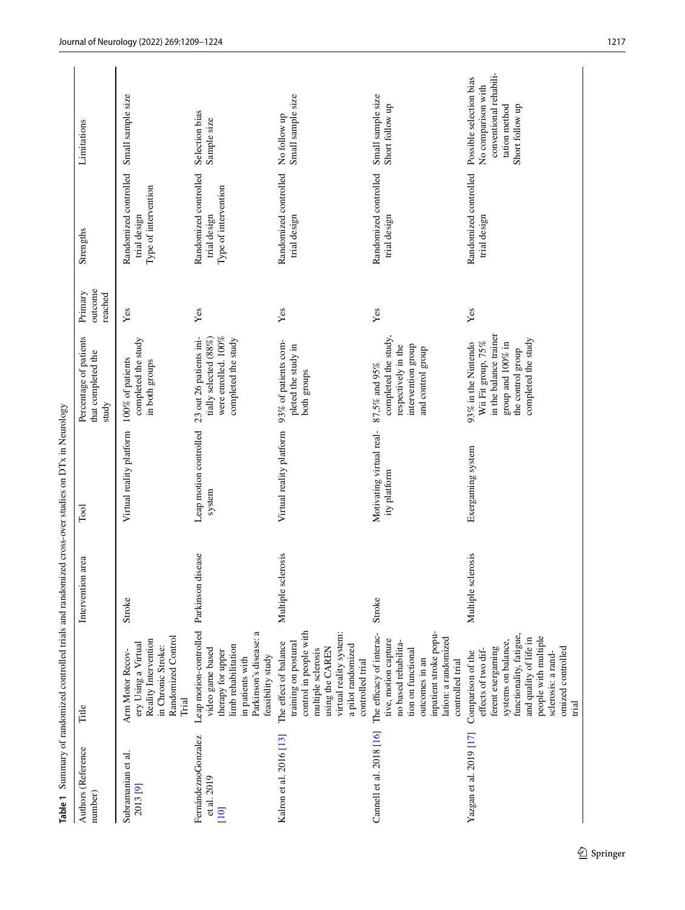<span id="page-8-0"></span>

|                                            |                                                                                                                                                                                                                       |                         | Table 1 Summary of randomized controlled trials and randomized cross-over studies on DTx in Neurology |                                                                                                                                      |                               |                                                               |                                                                                                             |
|--------------------------------------------|-----------------------------------------------------------------------------------------------------------------------------------------------------------------------------------------------------------------------|-------------------------|-------------------------------------------------------------------------------------------------------|--------------------------------------------------------------------------------------------------------------------------------------|-------------------------------|---------------------------------------------------------------|-------------------------------------------------------------------------------------------------------------|
| Authors (Reference<br>number)              | Title                                                                                                                                                                                                                 | Intervention area       | $\Gamma$ ool                                                                                          | Percentage of patients<br>that completed the<br>study                                                                                | outcome<br>Primary<br>reached | Strengths                                                     | Limitations                                                                                                 |
| Subramanian et al.<br>2013 <sup>[9]</sup>  | Randomized Control<br>Reality Intervention<br>ery Using a Virtual<br>in Chronic Stroke:<br>Arm Motor Recov-<br>Trial                                                                                                  | Stroke                  | Virtual reality platform                                                                              | completed the study<br>100% of patients<br>in both groups                                                                            | Yes                           | Randomized controlled<br>Type of intervention<br>trial design | Small sample size                                                                                           |
| FernándeznoGonzalez<br>et al. 2019<br>[10] | Leap motion-controlled Parkinson disease<br>Parkinson's disease: a<br>limb rehabilitation<br>video game based<br>therapy for upper<br>feasibility study<br>in patients with                                           |                         | Leap motion controlled<br>system                                                                      | were enrolled. 100%<br>tially selected (88%)<br>23 out 26 patients ini-<br>completed the study                                       | Yes                           | Randomized controlled<br>Type of intervention<br>trial design | Selection bias<br>Sample size                                                                               |
| Kalron et al. 2016 [13]                    | control in people with<br>virtual reality system:<br>training on postural<br>The effect of balance<br>a pilot randomized<br>using the CAREN<br>multiple sclerosis<br>controlled trial                                 | lerosis<br>Multiple scl | Virtual reality platform                                                                              | 93% of patients com-<br>pleted the study in<br>both groups                                                                           | Yes                           | Randomized controlled<br>trial design                         | Small sample size<br>No follow up                                                                           |
| Cannell et al. 2018 [16]                   | inpatient stroke popu-<br>The efficacy of interac-<br>lation: a randomized<br>tive, motion capture<br>no based rehabilita-<br>tion on functional<br>outcomes in an<br>controlled trial                                | Stroke                  | Motivating virtual real-<br>ity platform                                                              | completed the study.<br>intervention group<br>respectively in the<br>and control group<br>$87,5\%$ and $95\%$                        | Yes                           | Randomized controlled<br>trial design                         | Small sample size<br>Short follow up                                                                        |
| Yazgan et al. 2019 [17]                    | functionality, fatigue,<br>people with multiple<br>and quality of life in<br>systems on balance,<br>ferent exergaming<br>omized controlled<br>effects of two dif-<br>Comparison of the<br>sclerosis: a rand-<br>trial | lerosis<br>Multiple sc. | Exergaming system                                                                                     | in the balance trainer<br>completed the study<br>Wii Fit group, 75%<br>group and 100% in<br>93% in the Nintendo<br>the control group | Yes                           | Randomized controlled<br>trial design                         | conventional rehabili-<br>Possible selection bias<br>No comparison with<br>tation method<br>Short follow up |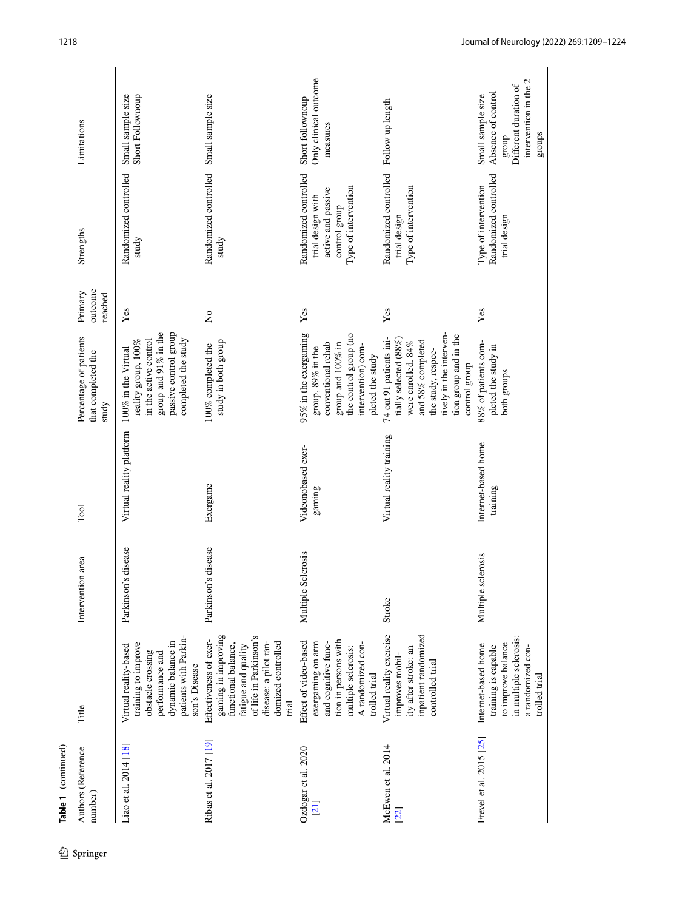|            | Table 1 (continued)                    |                                                                                                                                                                               |                         |                                 |                                                                                                                                                                                        |                               |                                                                                                           |                                                                                                              |
|------------|----------------------------------------|-------------------------------------------------------------------------------------------------------------------------------------------------------------------------------|-------------------------|---------------------------------|----------------------------------------------------------------------------------------------------------------------------------------------------------------------------------------|-------------------------------|-----------------------------------------------------------------------------------------------------------|--------------------------------------------------------------------------------------------------------------|
| 2 Springer | Authors (Reference<br>number)          | Title                                                                                                                                                                         | Intervention area       | Tool                            | Percentage of patients<br>that completed the<br>study                                                                                                                                  | outcome<br>Primary<br>reached | Strengths                                                                                                 | Limitations                                                                                                  |
|            | Liao et al. 2014 [18]                  | patients with Parkin-<br>dynamic balance in<br>training to improve<br>Virtual reality-based<br>obstacle crossing<br>performance and<br>son's Disease                          | disease<br>Parkinson's  | Virtual reality platform        | passive control group<br>group and 91% in the<br>completed the study<br>in the active control<br>reality group, 100%<br>100% in the Virtual                                            | Yes                           | Randomized controlled<br>study                                                                            | Small sample size<br>Short Follownoup                                                                        |
|            | Ribas et al. 2017 [19]                 | gaming in improving<br>of life in Parkinson's<br>Effectiveness of exer-<br>domized controlled<br>disease: a pilot ran-<br>functional balance,<br>fatigue and quality<br>trial | disease<br>Parkinson's  | Exergame                        | study in both group<br>100% completed the                                                                                                                                              | $\tilde{z}$                   | Randomized controlled<br>study                                                                            | Small sample size                                                                                            |
|            | Ozdogar et al. 2020<br>$\overline{21}$ | tion in persons with<br>Effect of video-based<br>exergaming on arm<br>and cognitive func-<br>A randomized con-<br>multiple sclerosis:<br>trolled trial                        | Multiple Sclerosis      | Videonobased exer-<br>gaming    | the control group (no<br>95% in the exergaming<br>conventional rehab<br>group and $100\%$ in<br>intervention) com-<br>group, 89% in the<br>pleted the study                            | Yes                           | Randomized controlled<br>Type of intervention<br>active and passive<br>trial design with<br>control group | Only clinical outcome<br>Short follownoup<br>measures                                                        |
|            | McEwen et al. 2014<br>[22]             | Virtual reality exercise<br>inpatient randomized<br>ity after stroke: an<br>improves mobil-<br>controlled trial                                                               | Stroke                  | Virtual reality training        | tively in the interven-<br>tion group and in the<br>74 out 91 patients ini-<br>tially selected (88%)<br>and 58% completed<br>were enrolled. 84%<br>the study, respec-<br>control group | Yes                           | Randomized controlled<br>Type of intervention<br>trial design                                             | Follow up length                                                                                             |
|            | Frevel et al. 2015 [25]                | in multiple sclerosis:<br>to improve balance<br>Internet-based home<br>training is capable<br>a randomized con-<br>trolled trial                                              | lerosis<br>Multiple scl | Internet-based home<br>training | 88% of patients com-<br>pleted the study in<br>both groups                                                                                                                             | Yes                           | Randomized controlled<br>Type of intervention<br>trial design                                             | intervention in the 2<br>Different duration of<br>Absence of control<br>Small sample size<br>groups<br>group |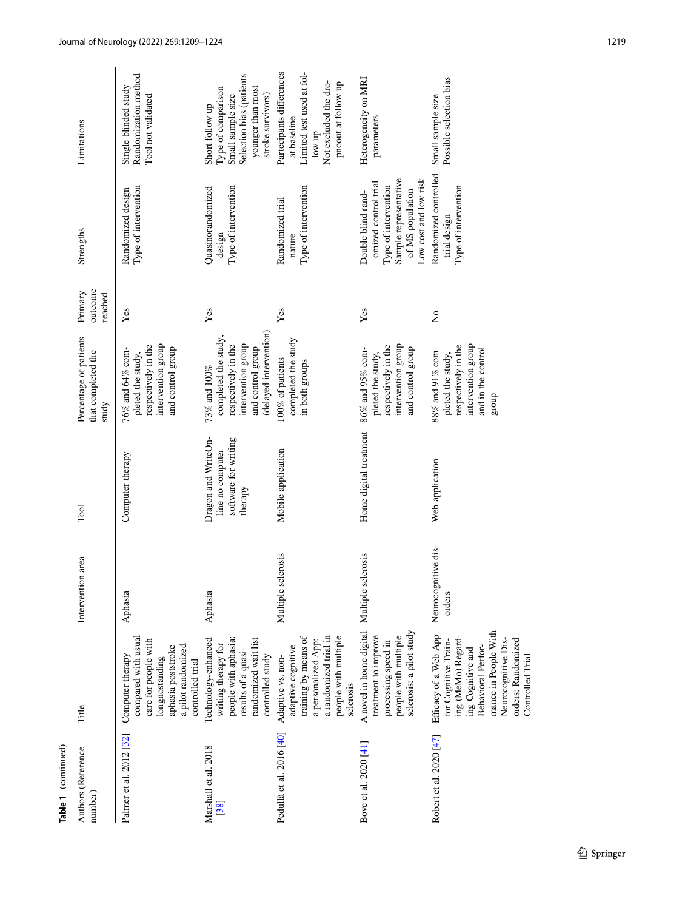| Authors (Reference<br>number) | Title                                                                                                                                                                                                   | Intervention area             | $\Gamma$ ool                                                               | Percentage of patients<br>that completed the<br>study                                                                                  | outcome<br>Primary<br>reached | Strengths                                                                                                                                | Limitations                                                                                                                      |
|-------------------------------|---------------------------------------------------------------------------------------------------------------------------------------------------------------------------------------------------------|-------------------------------|----------------------------------------------------------------------------|----------------------------------------------------------------------------------------------------------------------------------------|-------------------------------|------------------------------------------------------------------------------------------------------------------------------------------|----------------------------------------------------------------------------------------------------------------------------------|
| Palmer et al. 2012 [32]       | compared with usual<br>care for people with<br>a pilot randomized<br>aphasia poststroke<br>Computer therapy<br>longnostanding<br>controlled trial                                                       | Aphasia                       | Computer therapy                                                           | intervention group<br>respectively in the<br>and control group<br>76% and 64% com-<br>pleted the study,                                | Yes                           | Type of intervention<br>Randomized design                                                                                                | Randomization method<br>Single blinded study<br>Tool not validated                                                               |
| Marshall et al. 2018<br>[38]  | randomized wait list<br>Technology-enhanced<br>people with aphasia:<br>writing therapy for<br>results of a quasi-<br>controlled study                                                                   | Aphasia                       | Dragon and WriteOn-<br>software for writing<br>line no computer<br>therapy | (delayed intervention)<br>completed the study,<br>intervention group<br>respectively in the<br>and control group<br>$73\%$ and $100\%$ | Yes                           | Type of intervention<br>Quasinorandomized<br>design                                                                                      | Selection bias (patients<br>Type of comparison<br>younger than most<br>Small sample size<br>stroke survivors)<br>Short follow up |
| Pedullà et al. 2016 [40]      | a randomized trial in<br>people with multiple<br>training by means of<br>a personalized App:<br>adaptive cognitive<br>Adaptive vs. non-<br>sclerosis                                                    | Multiple sclerosis            | Mobile application                                                         | completed the study<br>100% of patients<br>in both groups                                                                              | Yes                           | Type of intervention<br>Randomized trial<br>nature                                                                                       | Partecipants differences<br>Limited test used at fol-<br>Not excluded the dro-<br>pnoout at follow up<br>at baseline<br>low up   |
| Bove et al. 2020 [41]         | sclerosis: a pilot study<br>A novel in home digital<br>treatment to improve<br>people with multiple<br>processing speed in                                                                              | Multiple sclerosis            | Home digital treatment                                                     | intervention group<br>respectively in the<br>and control group<br>86% and 95% com-<br>pleted the study,                                | Yes                           | Low cost and low risk<br>Sample representative<br>omized control trial<br>Type of intervention<br>of MS population<br>Double blind rand- | Heterogeneity on MRI<br>parameters                                                                                               |
| Robert et al. 2020 [47]       | mance in People With<br>Efficacy of a Web App<br>ing (MeMo) Regard-<br>Neurocognitive Dis-<br>orders: Randomized<br>for Cognitive Train-<br>Behavioral Perfor-<br>ing Cognitive and<br>Controlled Trial | Neurocognitive dis-<br>orders | Web application                                                            | intervention group<br>respectively in the<br>88% and 91% com-<br>and in the control<br>pleted the study,<br>group                      | $\tilde{z}$                   | Randomized controlled<br>Type of intervention<br>trial design                                                                            | Possible selection bias<br>Small sample size                                                                                     |

**Table 1** (continued)

Table 1 (continued)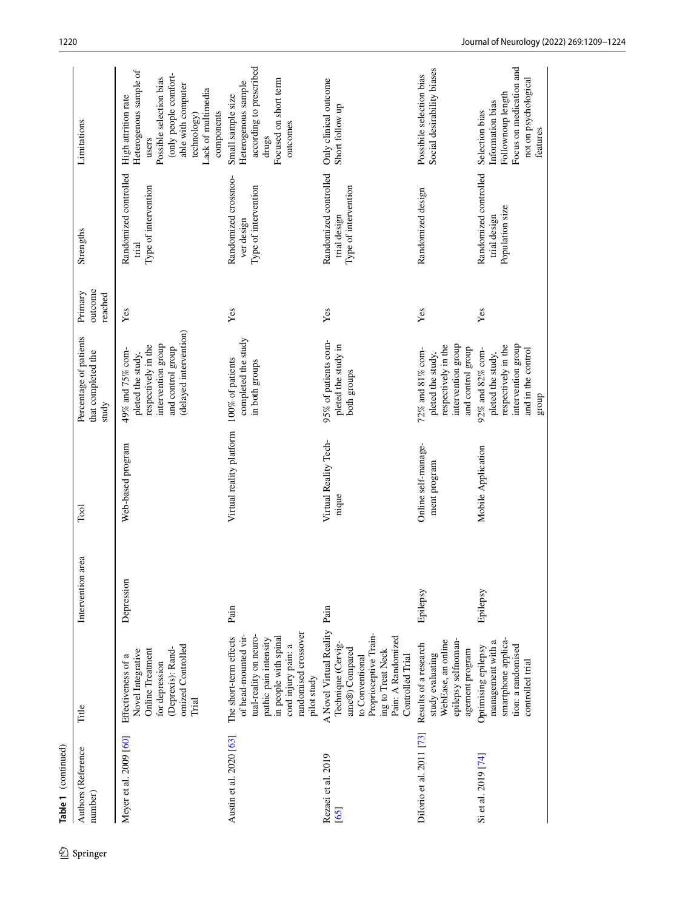| Table 1 (continued)                   |                                                                                                                                                                                          |                   |                                     |                                                                                                                                   |                               |                                                               |                                                                                                                                                                                     |
|---------------------------------------|------------------------------------------------------------------------------------------------------------------------------------------------------------------------------------------|-------------------|-------------------------------------|-----------------------------------------------------------------------------------------------------------------------------------|-------------------------------|---------------------------------------------------------------|-------------------------------------------------------------------------------------------------------------------------------------------------------------------------------------|
| Authors (Reference<br>number)         | Title                                                                                                                                                                                    | Intervention area | Tool                                | Percentage of patients<br>that completed the<br>study                                                                             | outcome<br>Primary<br>reached | Strengths                                                     | Limitations                                                                                                                                                                         |
| Meyer et al. 2009 [60]                | omized Controlled<br>(Deprexis): Rand-<br><b>Online Treatment</b><br>Novel Integrative<br>Effectiveness of a<br>for depression<br>Trial                                                  | Depression        | Web-based program                   | (delayed intervention)<br>intervention group<br>respectively in the<br>and control group<br>49% and 75% com-<br>pleted the study, | Yes                           | Randomized controlled<br>Type of intervention<br>trial        | Heterogenous sample of<br>(only people comfort-<br>Possible selection bias<br>able with computer<br>Lack of multimedia<br>High attrition rate<br>components<br>technology)<br>users |
| Austin et al. 2020 [63]               | randomised crossover<br>of head-mounted vir-<br>tual-reality on neuro-<br>The short-term effects<br>in people with spinal<br>pathic pain intensity<br>cord injury pain: a<br>pilot study | Pain              | Virtual reality platform            | completed the study<br>100% of patients<br>in both groups                                                                         | Yes                           | Randomized crossnoo-<br>Type of intervention<br>ver design    | according to prescribed<br>Focused on short term<br>Heterogenous sample<br>Small sample size<br>outcomes<br>drugs                                                                   |
| Rezaei et al. 2019<br>$\overline{65}$ | A Novel Virtual Reality<br>Proprioceptive Train-<br>Pain: A Randomized<br>Technique (Cervig<br>ame®) Compared<br>ing to Treat Neck<br>Controlled Trial<br>to Conventional                | Pain              | Virtual Reality Tech-<br>nique      | 95% of patients com-<br>pleted the study in<br>both groups                                                                        | Yes                           | Randomized controlled<br>Type of intervention<br>trial design | Only clinical outcome<br>Short follow up                                                                                                                                            |
| Dilorio et al. 2011 [73]              | WebEase, an online<br>epilepsy selfnoman-<br>Results of a research<br>agement program<br>study evaluating                                                                                | Epilepsy          | Online self-manage-<br>ment program | intervention group<br>respectively in the<br>and control group<br>72% and 81% com-<br>pleted the study,                           | Yes                           | Randomized design                                             | Social desirability biases<br>Possibile selection bias                                                                                                                              |
| Si et al. 2019 [74]                   | smartphone applica-<br>management with a<br>tion: a randomised<br>Optimising epilepsy<br>controlled trial                                                                                | Epilepsy          | Mobile Application                  | intervention group<br>respectively in the<br>92% and 82% com-<br>and in the control<br>pleted the study,<br>group                 | Yes                           | Randomized controlled<br>Population size<br>trial design      | Focus on medication and<br>not on psychological<br>Follownoup length<br>Information bias<br>Selection bias<br>features                                                              |

Table 1 (continued)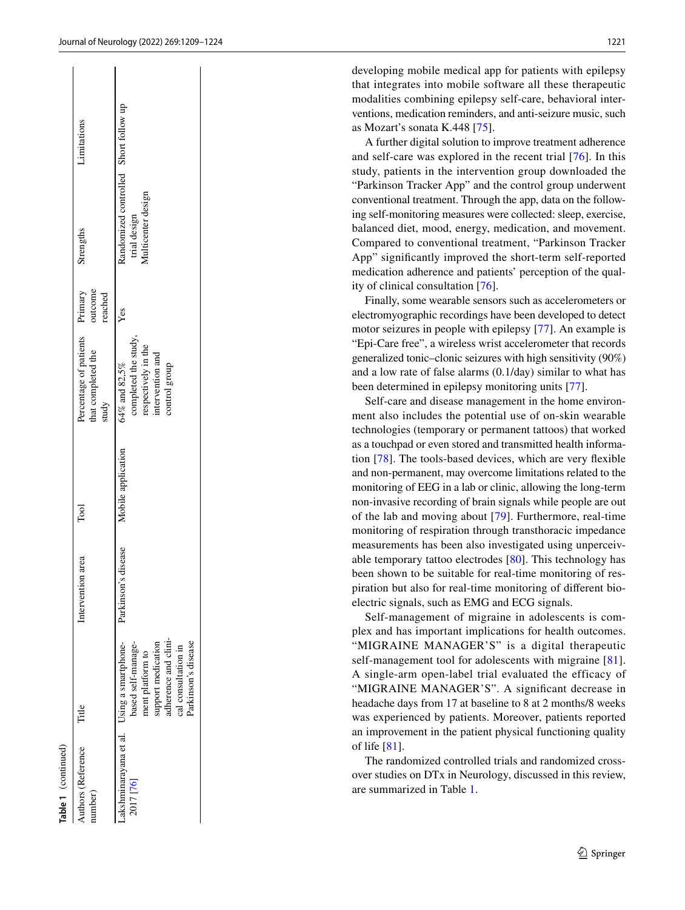| developing mobile medical app for patients with epilepsy     |
|--------------------------------------------------------------|
| that integrates into mobile software all these therapeutic   |
| modalities combining epilepsy self-care, behavioral inter-   |
| ventions, medication reminders, and anti-seizure music, such |
| as Mozart's sonata K.448 [ $75$ ].                           |

A further digital solution to improve treatment adherence and self-care was explored in the recent trial [\[76\]](#page-15-25). In this study, patients in the intervention group downloaded the "Parkinson Tracker App" and the control group underwent conventional treatment. Through the app, data on the follow ing self-monitoring measures were collected: sleep, exercise, balanced diet, mood, energy, medication, and movement. Compared to conventional treatment, "Parkinson Tracker App" signifcantly improved the short-term self-reported medication adherence and patients' perception of the qual ity of clinical consultation [[76\]](#page-15-25).

Finally, some wearable sensors such as accelerometers or electromyographic recordings have been developed to detect motor seizures in people with epilepsy [[77\]](#page-15-15). An example is "Epi-Care free", a wireless wrist accelerometer that records generalized tonic–clonic seizures with high sensitivity (90%) and a low rate of false alarms (0.1/day) similar to what has been determined in epilepsy monitoring units [\[77](#page-15-15)].

Self-care and disease management in the home environ ment also includes the potential use of on-skin wearable technologies (temporary or permanent tattoos) that worked as a touchpad or even stored and transmitted health informa tion [\[78](#page-15-26)]. The tools-based devices, which are very fexible and non-permanent, may overcome limitations related to the monitoring of EEG in a lab or clinic, allowing the long-term non-invasive recording of brain signals while people are out of the lab and moving about [\[79](#page-15-27)]. Furthermore, real-time monitoring of respiration through transthoracic impedance measurements has been also investigated using unperceiv able temporary tattoo electrodes [[80\]](#page-15-28). This technology has been shown to be suitable for real-time monitoring of res piration but also for real-time monitoring of diferent bioelectric signals, such as EMG and ECG signals.

Self-management of migraine in adolescents is com plex and has important implications for health outcomes. "MIGRAINE MANAGER'S" is a digital therapeutic self-management tool for adolescents with migraine [[81](#page-15-29)]. A single-arm open-label trial evaluated the efficacy of "MIGRAINE MANAGER'S". A signifcant decrease in headache days from 17 at baseline to 8 at 2 months/8 weeks was experienced by patients. Moreover, patients reported an improvement in the patient physical functioning quality of life [[81](#page-15-29)].

The randomized controlled trials and randomized crossover studies on DTx in Neurology, discussed in this review, are summarized in Table [1](#page-8-0) .

| ۹ |  |
|---|--|
|   |  |
|   |  |
|   |  |

| Yes<br>completed the study,<br>respectively in the<br>intervention and<br>64% and 82,5%<br>control group<br>Mobile application<br>Parkinson's disease<br>idherence and clini-<br>support medication<br>-akshminarayana et al. Using a smartphone-<br>based self-manage-<br>nent platform to<br>2017 [76] | Authors (Reference<br>umber) | Title               | Intervention area | Tool | Percentage of patients Primary<br>that completed the<br>study | outcome<br>reached | Strengths                                                                   | Limitations |
|----------------------------------------------------------------------------------------------------------------------------------------------------------------------------------------------------------------------------------------------------------------------------------------------------------|------------------------------|---------------------|-------------------|------|---------------------------------------------------------------|--------------------|-----------------------------------------------------------------------------|-------------|
| Parkinson's disease                                                                                                                                                                                                                                                                                      |                              | cal consultation in |                   |      |                                                               |                    | Randomized controlled Short follow up<br>Multicenter design<br>trial design |             |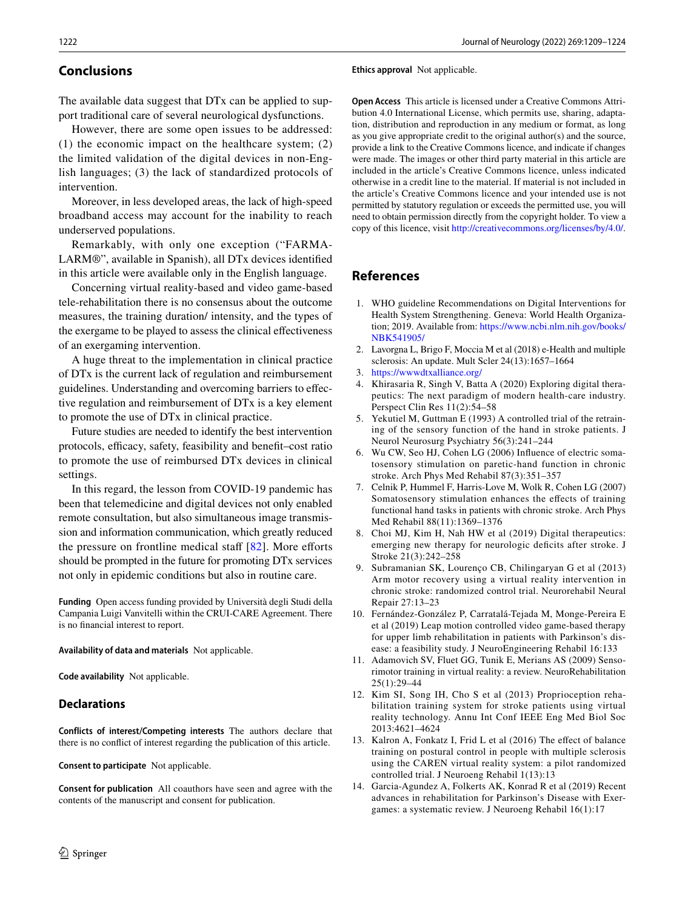# **Conclusions**

The available data suggest that DTx can be applied to support traditional care of several neurological dysfunctions.

However, there are some open issues to be addressed: (1) the economic impact on the healthcare system; (2) the limited validation of the digital devices in non-English languages; (3) the lack of standardized protocols of intervention.

Moreover, in less developed areas, the lack of high-speed broadband access may account for the inability to reach underserved populations.

Remarkably, with only one exception ("FARMA-LARM®", available in Spanish), all DTx devices identifed in this article were available only in the English language.

Concerning virtual reality-based and video game-based tele-rehabilitation there is no consensus about the outcome measures, the training duration/ intensity, and the types of the exergame to be played to assess the clinical efectiveness of an exergaming intervention.

A huge threat to the implementation in clinical practice of DTx is the current lack of regulation and reimbursement guidelines. Understanding and overcoming barriers to efective regulation and reimbursement of DTx is a key element to promote the use of DTx in clinical practice.

Future studies are needed to identify the best intervention protocols, efficacy, safety, feasibility and benefit–cost ratio to promote the use of reimbursed DTx devices in clinical settings.

In this regard, the lesson from COVID-19 pandemic has been that telemedicine and digital devices not only enabled remote consultation, but also simultaneous image transmission and information communication, which greatly reduced the pressure on frontline medical staff  $[82]$  $[82]$ . More efforts should be prompted in the future for promoting DTx services not only in epidemic conditions but also in routine care.

**Funding** Open access funding provided by Università degli Studi della Campania Luigi Vanvitelli within the CRUI-CARE Agreement. There is no fnancial interest to report.

**Availability of data and materials** Not applicable.

**Code availability** Not applicable.

# **Declarations**

**Conflicts of interest/Competing interests** The authors declare that there is no confict of interest regarding the publication of this article.

**Consent to participate** Not applicable.

**Consent for publication** All coauthors have seen and agree with the contents of the manuscript and consent for publication.

#### **Ethics approval** Not applicable.

**Open Access** This article is licensed under a Creative Commons Attribution 4.0 International License, which permits use, sharing, adaptation, distribution and reproduction in any medium or format, as long as you give appropriate credit to the original author(s) and the source, provide a link to the Creative Commons licence, and indicate if changes were made. The images or other third party material in this article are included in the article's Creative Commons licence, unless indicated otherwise in a credit line to the material. If material is not included in the article's Creative Commons licence and your intended use is not permitted by statutory regulation or exceeds the permitted use, you will need to obtain permission directly from the copyright holder. To view a copy of this licence, visit<http://creativecommons.org/licenses/by/4.0/>.

# **References**

- <span id="page-13-0"></span>1. WHO guideline Recommendations on Digital Interventions for Health System Strengthening. Geneva: World Health Organization; 2019. Available from: [https://www.ncbi.nlm.nih.gov/books/](https://www.ncbi.nlm.nih.gov/books/NBK541905/) [NBK541905/](https://www.ncbi.nlm.nih.gov/books/NBK541905/)
- <span id="page-13-1"></span>2. Lavorgna L, Brigo F, Moccia M et al (2018) e-Health and multiple sclerosis: An update. Mult Scler 24(13):1657–1664
- <span id="page-13-2"></span>3. <https://wwwdtxalliance.org/>
- <span id="page-13-3"></span>4. Khirasaria R, Singh V, Batta A (2020) Exploring digital therapeutics: The next paradigm of modern health-care industry. Perspect Clin Res 11(2):54–58
- <span id="page-13-4"></span>5. Yekutiel M, Guttman E (1993) A controlled trial of the retraining of the sensory function of the hand in stroke patients. J Neurol Neurosurg Psychiatry 56(3):241–244
- 6. Wu CW, Seo HJ, Cohen LG (2006) Infuence of electric somatosensory stimulation on paretic-hand function in chronic stroke. Arch Phys Med Rehabil 87(3):351–357
- <span id="page-13-5"></span>7. Celnik P, Hummel F, Harris-Love M, Wolk R, Cohen LG (2007) Somatosensory stimulation enhances the efects of training functional hand tasks in patients with chronic stroke. Arch Phys Med Rehabil 88(11):1369–1376
- <span id="page-13-6"></span>8. Choi MJ, Kim H, Nah HW et al (2019) Digital therapeutics: emerging new therapy for neurologic deficits after stroke. J Stroke 21(3):242–258
- <span id="page-13-7"></span>9. Subramanian SK, Lourenço CB, Chilingaryan G et al (2013) Arm motor recovery using a virtual reality intervention in chronic stroke: randomized control trial. Neurorehabil Neural Repair 27:13–23
- <span id="page-13-8"></span>10. Fernández-González P, Carratalá-Tejada M, Monge-Pereira E et al (2019) Leap motion controlled video game-based therapy for upper limb rehabilitation in patients with Parkinson's disease: a feasibility study. J NeuroEngineering Rehabil 16:133
- <span id="page-13-9"></span>11. Adamovich SV, Fluet GG, Tunik E, Merians AS (2009) Sensorimotor training in virtual reality: a review. NeuroRehabilitation 25(1):29–44
- <span id="page-13-10"></span>12. Kim SI, Song IH, Cho S et al (2013) Proprioception rehabilitation training system for stroke patients using virtual reality technology. Annu Int Conf IEEE Eng Med Biol Soc 2013:4621–4624
- <span id="page-13-11"></span>13. Kalron A, Fonkatz I, Frid L et al (2016) The efect of balance training on postural control in people with multiple sclerosis using the CAREN virtual reality system: a pilot randomized controlled trial. J Neuroeng Rehabil 1(13):13
- <span id="page-13-12"></span>14. Garcia-Agundez A, Folkerts AK, Konrad R et al (2019) Recent advances in rehabilitation for Parkinson's Disease with Exergames: a systematic review. J Neuroeng Rehabil 16(1):17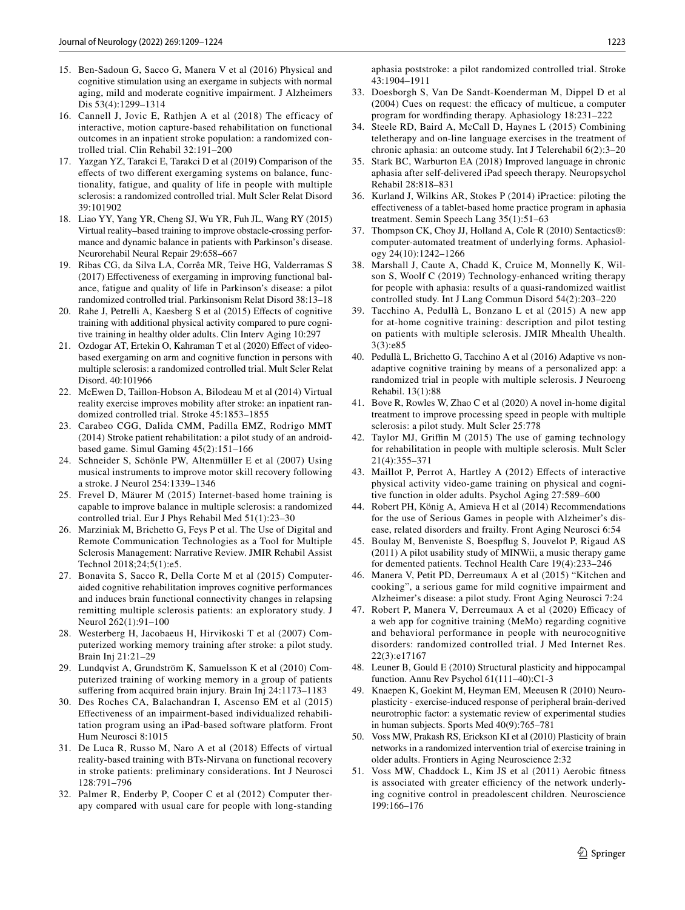- <span id="page-14-36"></span>15. Ben-Sadoun G, Sacco G, Manera V et al (2016) Physical and cognitive stimulation using an exergame in subjects with normal aging, mild and moderate cognitive impairment. J Alzheimers Dis 53(4):1299–1314
- <span id="page-14-1"></span>16. Cannell J, Jovic E, Rathjen A et al (2018) The efficacy of interactive, motion capture-based rehabilitation on functional outcomes in an inpatient stroke population: a randomized controlled trial. Clin Rehabil 32:191–200
- <span id="page-14-0"></span>17. Yazgan YZ, Tarakci E, Tarakci D et al (2019) Comparison of the efects of two diferent exergaming systems on balance, functionality, fatigue, and quality of life in people with multiple sclerosis: a randomized controlled trial. Mult Scler Relat Disord 39:101902
- <span id="page-14-2"></span>18. Liao YY, Yang YR, Cheng SJ, Wu YR, Fuh JL, Wang RY (2015) Virtual reality–based training to improve obstacle-crossing performance and dynamic balance in patients with Parkinson's disease. Neurorehabil Neural Repair 29:658–667
- <span id="page-14-3"></span>19. Ribas CG, da Silva LA, Corrêa MR, Teive HG, Valderramas S (2017) Efectiveness of exergaming in improving functional balance, fatigue and quality of life in Parkinson's disease: a pilot randomized controlled trial. Parkinsonism Relat Disord 38:13–18
- <span id="page-14-4"></span>20. Rahe J, Petrelli A, Kaesberg S et al (2015) Efects of cognitive training with additional physical activity compared to pure cognitive training in healthy older adults. Clin Interv Aging 10:297
- <span id="page-14-5"></span>21. Ozdogar AT, Ertekin O, Kahraman T et al (2020) Efect of videobased exergaming on arm and cognitive function in persons with multiple sclerosis: a randomized controlled trial. Mult Scler Relat Disord. 40:101966
- <span id="page-14-6"></span>22. McEwen D, Taillon-Hobson A, Bilodeau M et al (2014) Virtual reality exercise improves mobility after stroke: an inpatient randomized controlled trial. Stroke 45:1853–1855
- <span id="page-14-7"></span>23. Carabeo CGG, Dalida CMM, Padilla EMZ, Rodrigo MMT (2014) Stroke patient rehabilitation: a pilot study of an androidbased game. Simul Gaming 45(2):151–166
- <span id="page-14-8"></span>24. Schneider S, Schönle PW, Altenmüller E et al (2007) Using musical instruments to improve motor skill recovery following a stroke. J Neurol 254:1339–1346
- <span id="page-14-9"></span>25. Frevel D, Mäurer M (2015) Internet-based home training is capable to improve balance in multiple sclerosis: a randomized controlled trial. Eur J Phys Rehabil Med 51(1):23–30
- <span id="page-14-10"></span>26. Marziniak M, Brichetto G, Feys P et al. The Use of Digital and Remote Communication Technologies as a Tool for Multiple Sclerosis Management: Narrative Review. JMIR Rehabil Assist Technol 2018;24;5(1):e5.
- <span id="page-14-11"></span>27. Bonavita S, Sacco R, Della Corte M et al (2015) Computeraided cognitive rehabilitation improves cognitive performances and induces brain functional connectivity changes in relapsing remitting multiple sclerosis patients: an exploratory study. J Neurol 262(1):91–100
- <span id="page-14-12"></span>28. Westerberg H, Jacobaeus H, Hirvikoski T et al (2007) Computerized working memory training after stroke: a pilot study. Brain Inj 21:21–29
- <span id="page-14-13"></span>29. Lundqvist A, Grundström K, Samuelsson K et al (2010) Computerized training of working memory in a group of patients suffering from acquired brain injury. Brain Inj 24:1173-1183
- <span id="page-14-14"></span>30. Des Roches CA, Balachandran I, Ascenso EM et al (2015) Efectiveness of an impairment-based individualized rehabilitation program using an iPad-based software platform. Front Hum Neurosci 8:1015
- <span id="page-14-15"></span>31. De Luca R, Russo M, Naro A et al (2018) Efects of virtual reality-based training with BTs-Nirvana on functional recovery in stroke patients: preliminary considerations. Int J Neurosci 128:791–796
- <span id="page-14-16"></span>32. Palmer R, Enderby P, Cooper C et al (2012) Computer therapy compared with usual care for people with long-standing

aphasia poststroke: a pilot randomized controlled trial. Stroke 43:1904–1911

- <span id="page-14-17"></span>33. Doesborgh S, Van De Sandt-Koenderman M, Dippel D et al  $(2004)$  Cues on request: the efficacy of multicue, a computer program for wordfnding therapy. Aphasiology 18:231–222
- <span id="page-14-18"></span>34. Steele RD, Baird A, McCall D, Haynes L (2015) Combining teletherapy and on-line language exercises in the treatment of chronic aphasia: an outcome study. Int J Telerehabil 6(2):3–20
- <span id="page-14-19"></span>35. Stark BC, Warburton EA (2018) Improved language in chronic aphasia after self-delivered iPad speech therapy. Neuropsychol Rehabil 28:818–831
- <span id="page-14-20"></span>36. Kurland J, Wilkins AR, Stokes P (2014) iPractice: piloting the efectiveness of a tablet-based home practice program in aphasia treatment. Semin Speech Lang 35(1):51–63
- <span id="page-14-21"></span>37. Thompson CK, Choy JJ, Holland A, Cole R (2010) Sentactics®: computer-automated treatment of underlying forms. Aphasiology 24(10):1242–1266
- <span id="page-14-22"></span>38. Marshall J, Caute A, Chadd K, Cruice M, Monnelly K, Wilson S, Woolf C (2019) Technology-enhanced writing therapy for people with aphasia: results of a quasi-randomized waitlist controlled study. Int J Lang Commun Disord 54(2):203–220
- <span id="page-14-23"></span>39. Tacchino A, Pedullà L, Bonzano L et al (2015) A new app for at-home cognitive training: description and pilot testing on patients with multiple sclerosis. JMIR Mhealth Uhealth. 3(3):e85
- <span id="page-14-24"></span>40. Pedullà L, Brichetto G, Tacchino A et al (2016) Adaptive vs nonadaptive cognitive training by means of a personalized app: a randomized trial in people with multiple sclerosis. J Neuroeng Rehabil. 13(1):88
- <span id="page-14-25"></span>41. Bove R, Rowles W, Zhao C et al (2020) A novel in-home digital treatment to improve processing speed in people with multiple sclerosis: a pilot study. Mult Scler 25:778
- <span id="page-14-26"></span>42. Taylor MJ, Griffin M (2015) The use of gaming technology for rehabilitation in people with multiple sclerosis. Mult Scler 21(4):355–371
- <span id="page-14-27"></span>43. Maillot P, Perrot A, Hartley A (2012) Efects of interactive physical activity video-game training on physical and cognitive function in older adults. Psychol Aging 27:589–600
- <span id="page-14-28"></span>44. Robert PH, König A, Amieva H et al (2014) Recommendations for the use of Serious Games in people with Alzheimer's disease, related disorders and frailty. Front Aging Neurosci 6:54
- <span id="page-14-29"></span>45. Boulay M, Benveniste S, Boespfug S, Jouvelot P, Rigaud AS (2011) A pilot usability study of MINWii, a music therapy game for demented patients. Technol Health Care 19(4):233–246
- <span id="page-14-30"></span>46. Manera V, Petit PD, Derreumaux A et al (2015) "Kitchen and cooking", a serious game for mild cognitive impairment and Alzheimer's disease: a pilot study. Front Aging Neurosci 7:24
- <span id="page-14-31"></span>47. Robert P, Manera V, Derreumaux A et al (2020) Efficacy of a web app for cognitive training (MeMo) regarding cognitive and behavioral performance in people with neurocognitive disorders: randomized controlled trial. J Med Internet Res. 22(3):e17167
- <span id="page-14-32"></span>48. Leuner B, Gould E (2010) Structural plasticity and hippocampal function. Annu Rev Psychol 61(111–40):C1-3
- <span id="page-14-33"></span>49. Knaepen K, Goekint M, Heyman EM, Meeusen R (2010) Neuroplasticity - exercise-induced response of peripheral brain-derived neurotrophic factor: a systematic review of experimental studies in human subjects. Sports Med 40(9):765–781
- <span id="page-14-34"></span>50. Voss MW, Prakash RS, Erickson KI et al (2010) Plasticity of brain networks in a randomized intervention trial of exercise training in older adults. Frontiers in Aging Neuroscience 2:32
- <span id="page-14-35"></span>51. Voss MW, Chaddock L, Kim JS et al (2011) Aerobic ftness is associated with greater efficiency of the network underlying cognitive control in preadolescent children. Neuroscience 199:166–176